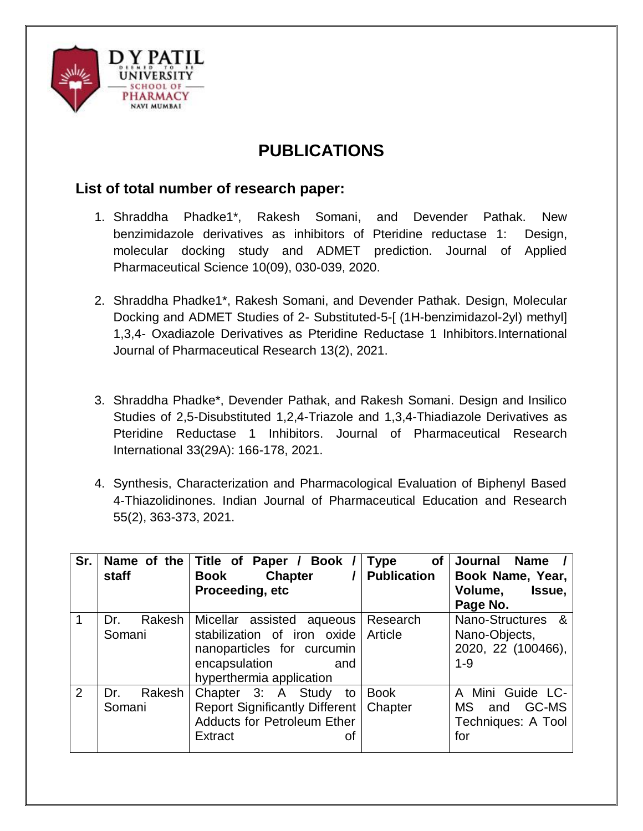

## **PUBLICATIONS**

## **List of total number of research paper:**

- 1. Shraddha Phadke1\*, Rakesh Somani, and Devender Pathak. New benzimidazole derivatives as inhibitors of Pteridine reductase 1: Design, molecular docking study and ADMET prediction. Journal of Applied Pharmaceutical Science 10(09), 030-039, 2020.
- 2. Shraddha Phadke1\*, Rakesh Somani, and Devender Pathak. Design, Molecular Docking and ADMET Studies of 2- Substituted-5-[ (1H-benzimidazol-2yl) methyl] 1,3,4- Oxadiazole Derivatives as Pteridine Reductase 1 Inhibitors.International Journal of Pharmaceutical Research 13(2), 2021.
- 3. Shraddha Phadke\*, Devender Pathak, and Rakesh Somani. Design and Insilico Studies of 2,5-Disubstituted 1,2,4-Triazole and 1,3,4-Thiadiazole Derivatives as Pteridine Reductase 1 Inhibitors. Journal of Pharmaceutical Research International 33(29A): 166-178, 2021.
- 4. Synthesis, Characterization and Pharmacological Evaluation of Biphenyl Based 4-Thiazolidinones. Indian Journal of Pharmaceutical Education and Research 55(2), 363-373, 2021.

| Sr. | Name of the<br>staff    | Title of Paper / Book /<br><b>Chapter</b><br>Book<br>Proceeding, etc                                                                               | <b>Type</b><br>of<br><b>Publication</b> | Journal<br><b>Name</b><br>Book Name, Year,<br>Volume,<br>Issue,<br>Page No. |
|-----|-------------------------|----------------------------------------------------------------------------------------------------------------------------------------------------|-----------------------------------------|-----------------------------------------------------------------------------|
|     | Rakesh<br>Dr.<br>Somani | Micellar assisted aqueous<br>stabilization of iron oxide Article<br>nanoparticles for curcumin<br>encapsulation<br>and<br>hyperthermia application | Research                                | Nano-Structures &<br>Nano-Objects,<br>2020, 22 (100466),<br>$1 - 9$         |
| 2   | Rakesh<br>Dr.<br>Somani | Chapter 3: A Study to<br>Report Significantly Different   Chapter<br><b>Adducts for Petroleum Ether</b><br>Extract<br>οt                           | <b>Book</b>                             | A Mini Guide LC-<br>GC-MS<br>MS.<br>and<br>Techniques: A Tool<br>for        |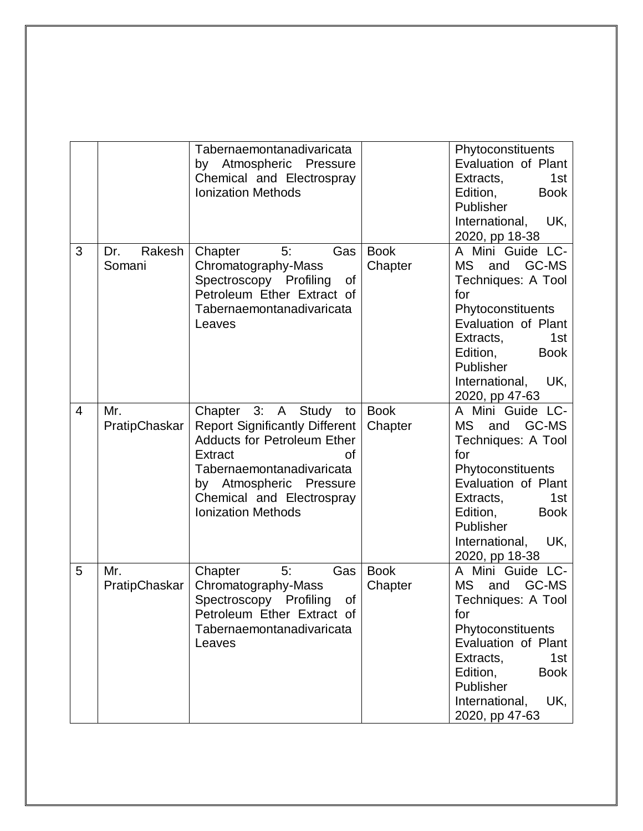|                |                         | Tabernaemontanadivaricata<br>by Atmospheric Pressure<br>Chemical and Electrospray<br><b>Ionization Methods</b>                                                                                                                             |                        | Phytoconstituents<br>Evaluation of Plant<br>Extracts,<br>1st<br><b>Book</b><br>Edition,<br>Publisher<br>UK,<br>International,<br>2020, pp 18-38                                                                               |
|----------------|-------------------------|--------------------------------------------------------------------------------------------------------------------------------------------------------------------------------------------------------------------------------------------|------------------------|-------------------------------------------------------------------------------------------------------------------------------------------------------------------------------------------------------------------------------|
| 3              | Rakesh<br>Dr.<br>Somani | Gas<br>5:<br>Chapter<br>Chromatography-Mass<br>Spectroscopy Profiling<br>0f<br>Petroleum Ether Extract of<br>Tabernaemontanadivaricata<br>Leaves                                                                                           | <b>Book</b><br>Chapter | A Mini Guide LC-<br>GC-MS<br><b>MS</b><br>and<br>Techniques: A Tool<br>for<br>Phytoconstituents<br>Evaluation of Plant<br>Extracts,<br>1st<br>Edition,<br><b>Book</b><br>Publisher<br>International,<br>UK,<br>2020, pp 47-63 |
| $\overline{4}$ | Mr.<br>PratipChaskar    | Chapter 3: A Study<br>to<br><b>Report Significantly Different</b><br><b>Adducts for Petroleum Ether</b><br>Extract<br>οf<br>Tabernaemontanadivaricata<br>by Atmospheric Pressure<br>Chemical and Electrospray<br><b>Ionization Methods</b> | <b>Book</b><br>Chapter | A Mini Guide LC-<br>MS<br>and<br>GC-MS<br>Techniques: A Tool<br>for<br>Phytoconstituents<br>Evaluation of Plant<br>1st<br>Extracts,<br><b>Book</b><br>Edition,<br>Publisher<br>UK,<br>International,<br>2020, pp 18-38        |
| 5              | Mr.<br>PratipChaskar    | 5:<br>Gas<br>Chapter<br>Chromatography-Mass<br>of<br>Spectroscopy Profiling<br>Petroleum Ether Extract of<br>Tabernaemontanadivaricata<br>Leaves                                                                                           | <b>Book</b><br>Chapter | A Mini Guide LC-<br>and<br>GC-MS<br><b>MS</b><br>Techniques: A Tool<br>for<br>Phytoconstituents<br>Evaluation of Plant<br>1st<br>Extracts,<br>Edition,<br><b>Book</b><br>Publisher<br>UK,<br>International,<br>2020, pp 47-63 |